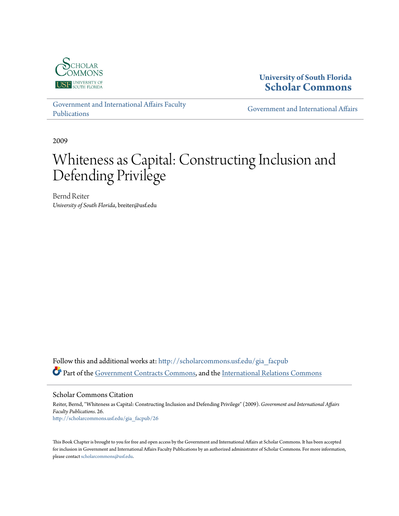

**University of South Florida [Scholar Commons](http://scholarcommons.usf.edu?utm_source=scholarcommons.usf.edu%2Fgia_facpub%2F26&utm_medium=PDF&utm_campaign=PDFCoverPages)**

[Government and International Affairs Faculty](http://scholarcommons.usf.edu/gia_facpub?utm_source=scholarcommons.usf.edu%2Fgia_facpub%2F26&utm_medium=PDF&utm_campaign=PDFCoverPages) [Publications](http://scholarcommons.usf.edu/gia_facpub?utm_source=scholarcommons.usf.edu%2Fgia_facpub%2F26&utm_medium=PDF&utm_campaign=PDFCoverPages)

[Government and International Affairs](http://scholarcommons.usf.edu/gia?utm_source=scholarcommons.usf.edu%2Fgia_facpub%2F26&utm_medium=PDF&utm_campaign=PDFCoverPages)

2009

## Whiteness as Capital: Constructing Inclusion and Defending Privilege

Bernd Reiter *University of South Florida*, breiter@usf.edu

Follow this and additional works at: [http://scholarcommons.usf.edu/gia\\_facpub](http://scholarcommons.usf.edu/gia_facpub?utm_source=scholarcommons.usf.edu%2Fgia_facpub%2F26&utm_medium=PDF&utm_campaign=PDFCoverPages) Part of the [Government Contracts Commons](http://network.bepress.com/hgg/discipline/845?utm_source=scholarcommons.usf.edu%2Fgia_facpub%2F26&utm_medium=PDF&utm_campaign=PDFCoverPages), and the [International Relations Commons](http://network.bepress.com/hgg/discipline/389?utm_source=scholarcommons.usf.edu%2Fgia_facpub%2F26&utm_medium=PDF&utm_campaign=PDFCoverPages)

Scholar Commons Citation

Reiter, Bernd, "Whiteness as Capital: Constructing Inclusion and Defending Privilege" (2009). *Government and International Affairs Faculty Publications*. 26. [http://scholarcommons.usf.edu/gia\\_facpub/26](http://scholarcommons.usf.edu/gia_facpub/26?utm_source=scholarcommons.usf.edu%2Fgia_facpub%2F26&utm_medium=PDF&utm_campaign=PDFCoverPages)

This Book Chapter is brought to you for free and open access by the Government and International Affairs at Scholar Commons. It has been accepted for inclusion in Government and International Affairs Faculty Publications by an authorized administrator of Scholar Commons. For more information, please contact [scholarcommons@usf.edu.](mailto:scholarcommons@usf.edu)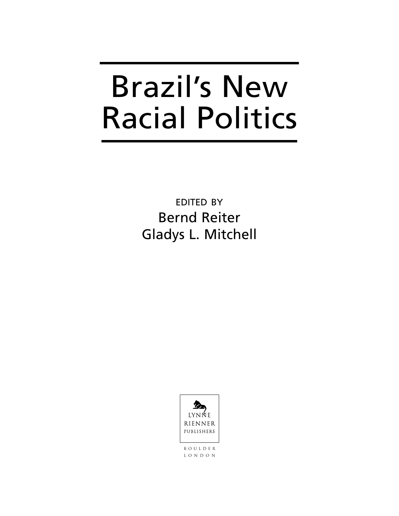## Brazil's New Racial Politics

EDITED BY Bernd Reiter Gladys L. Mitchell



boulder london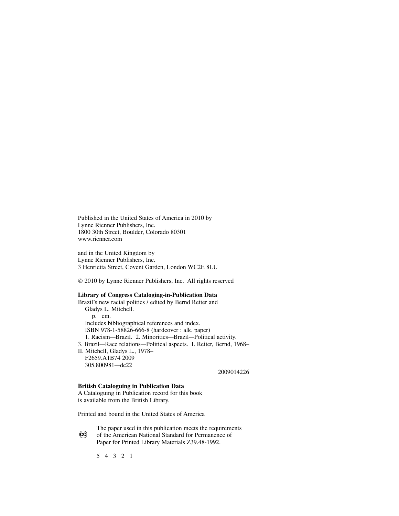Published in the United States of America in 2010 by Lynne Rienner Publishers, Inc. 1800 30th Street, Boulder, Colorado 80301 www.rienner.com

and in the United Kingdom by Lynne Rienner Publishers, Inc. 3 Henrietta Street, Covent Garden, London WC2E 8LU

© 2010 by Lynne Rienner Publishers, Inc. All rights reserved

#### **Library of Congress Cataloging-in-Publication Data**

Brazil's new racial politics / edited by Bernd Reiter and Gladys L. Mitchell. p. cm. Includes bibliographical references and index. ISBN 978-1-58826-666-8 (hardcover : alk. paper) 1. Racism*—*Brazil. 2. Minorities*—*Brazil*—*Political activity. 3. Brazil*—*Race relations*—*Political aspects. I. Reiter, Bernd, 1968– II. Mitchell, Gladys L., 1978– F2659.A1B74 2009 305.800981*—*dc22

2009014226

#### **British Cataloguing in Publication Data**

A Cataloguing in Publication record for this book is available from the British Library.

Printed and bound in the United States of America

 $\circledcirc$ 

The paper used in this publication meets the requirements of the American National Standard for Permanence of Paper for Printed Library Materials Z39.48-1992.

5 4 3 2 1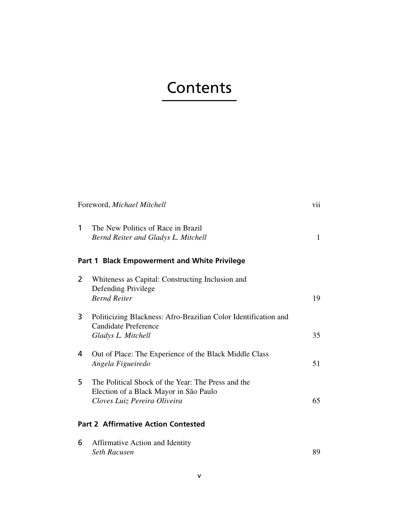## Contents

| Foreword, Michael Mitchell                   |                                                                                                                              | vii |  |
|----------------------------------------------|------------------------------------------------------------------------------------------------------------------------------|-----|--|
| 1                                            | The New Politics of Race in Brazil<br>Bernd Reiter and Gladys L. Mitchell                                                    | 1   |  |
| Part 1 Black Empowerment and White Privilege |                                                                                                                              |     |  |
| 2                                            | Whiteness as Capital: Constructing Inclusion and<br>Defending Privilege<br><b>Bernd Reiter</b>                               | 19  |  |
| 3                                            | Politicizing Blackness: Afro-Brazilian Color Identification and<br><b>Candidate Preference</b><br>Gladys L. Mitchell         | 35  |  |
| 4                                            | Out of Place: The Experience of the Black Middle Class<br>Angela Figueiredo                                                  | 51  |  |
| 5                                            | The Political Shock of the Year: The Press and the<br>Election of a Black Mayor in São Paulo<br>Cloves Luiz Pereira Oliveira | 65  |  |
| <b>Part 2 Affirmative Action Contested</b>   |                                                                                                                              |     |  |
| 6                                            | Affirmative Action and Identity<br><b>Seth Racusen</b>                                                                       | 89  |  |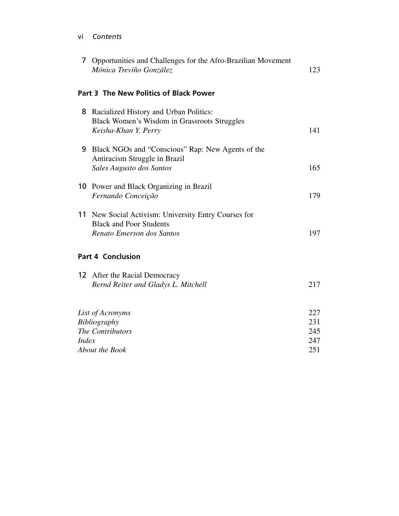| 7                                                    | Opportunities and Challenges for the Afro-Brazilian Movement<br>Mónica Treviño González                               | 123               |
|------------------------------------------------------|-----------------------------------------------------------------------------------------------------------------------|-------------------|
|                                                      | <b>Part 3 The New Politics of Black Power</b>                                                                         |                   |
| 8                                                    | Racialized History and Urban Politics:<br>Black Women's Wisdom in Grassroots Struggles<br>Keisha-Khan Y. Perry        | 141               |
| 9                                                    | Black NGOs and "Conscious" Rap: New Agents of the<br>Antiracism Struggle in Brazil<br><b>Sales Augusto dos Santos</b> | 165               |
|                                                      | 10 Power and Black Organizing in Brazil<br>Fernando Conceição                                                         | 179               |
| 11                                                   | New Social Activism: University Entry Courses for<br><b>Black and Poor Students</b><br>Renato Emerson dos Santos      | 197               |
|                                                      | <b>Part 4 Conclusion</b>                                                                                              |                   |
|                                                      | 12 After the Racial Democracy<br>Bernd Reiter and Gladys L. Mitchell                                                  | 217               |
| List of Acronyms<br>Bibliography<br>The Contributors |                                                                                                                       | 227<br>231<br>245 |
| <i>Index</i>                                         |                                                                                                                       | 247<br>251        |
|                                                      | About the Book                                                                                                        |                   |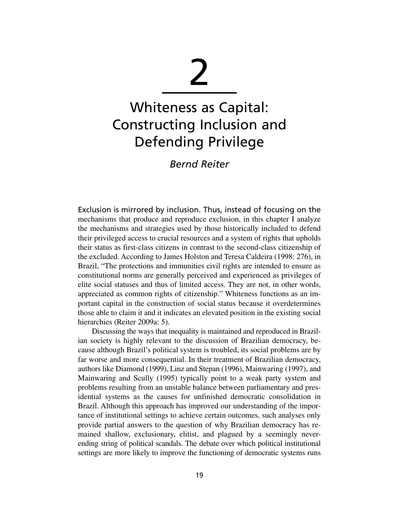# 2

### Whiteness as Capital: Constructing Inclusion and Defending Privilege

*Bernd Reiter*

Exclusion is mirrored by inclusion. Thus, instead of focusing on the mechanisms that produce and reproduce exclusion, in this chapter I analyze the mechanisms and strategies used by those historically included to defend their privileged access to crucial resources and a system of rights that upholds their status as first-class citizens in contrast to the second-class citizenship of the excluded. According to James Holston and Teresa Caldeira (1998: 276), in Brazil, "The protections and immunities civil rights are intended to ensure as constitutional norms are generally perceived and experienced as privileges of elite social statuses and thus of limited access. They are not, in other words, appreciated as common rights of citizenship." Whiteness functions as an important capital in the construction of social status because it overdetermines those able to claim it and it indicates an elevated position in the existing social hierarchies (Reiter 2009a: 5).

Discussing the ways that inequality is maintained and reproduced in Brazilian society is highly relevant to the discussion of Brazilian democracy, because although Brazil's political system is troubled, its social problems are by far worse and more consequential. In their treatment of Brazilian democracy, authors like Diamond (1999), Linz and Stepan (1996), Mainwaring (1997), and Mainwaring and Scully (1995) typically point to a weak party system and problems resulting from an unstable balance between parliamentary and presidential systems as the causes for unfinished democratic consolidation in Brazil. Although this approach has improved our understanding of the importance of institutional settings to achieve certain outcomes, such analyses only provide partial answers to the question of why Brazilian democracy has remained shallow, exclusionary, elitist, and plagued by a seemingly neverending string of political scandals. The debate over which political institutional settings are more likely to improve the functioning of democratic systems runs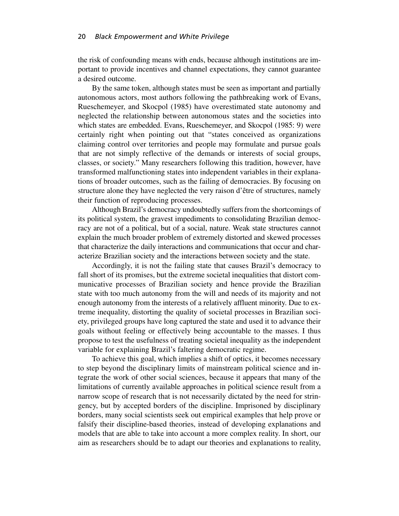the risk of confounding means with ends, because although institutions are important to provide incentives and channel expectations, they cannot guarantee a desired outcome.

By the same token, although states must be seen as important and partially autonomous actors, most authors following the pathbreaking work of Evans, Rueschemeyer, and Skocpol (1985) have overestimated state autonomy and neglected the relationship between autonomous states and the societies into which states are embedded. Evans, Rueschemeyer, and Skocpol (1985: 9) were certainly right when pointing out that "states conceived as organizations claiming control over territories and people may formulate and pursue goals that are not simply reflective of the demands or interests of social groups, classes, or society." Many researchers following this tradition, however, have transformed malfunctioning states into independent variables in their explanations of broader outcomes, such as the failing of democracies. By focusing on structure alone they have neglected the very raison d'être of structures, namely their function of reproducing processes.

Although Brazil's democracy undoubtedly suffers from the shortcomings of its political system, the gravest impediments to consolidating Brazilian democracy are not of a political, but of a social, nature. Weak state structures cannot explain the much broader problem of extremely distorted and skewed processes that characterize the daily interactions and communications that occur and characterize Brazilian society and the interactions between society and the state.

Accordingly, it is not the failing state that causes Brazil's democracy to fall short of its promises, but the extreme societal inequalities that distort communicative processes of Brazilian society and hence provide the Brazilian state with too much autonomy from the will and needs of its majority and not enough autonomy from the interests of a relatively affluent minority. Due to extreme inequality, distorting the quality of societal processes in Brazilian society, privileged groups have long captured the state and used it to advance their goals without feeling or effectively being accountable to the masses. I thus propose to test the usefulness of treating societal inequality as the independent variable for explaining Brazil's faltering democratic regime.

To achieve this goal, which implies a shift of optics, it becomes necessary to step beyond the disciplinary limits of mainstream political science and integrate the work of other social sciences, because it appears that many of the limitations of currently available approaches in political science result from a narrow scope of research that is not necessarily dictated by the need for stringency, but by accepted borders of the discipline. Imprisoned by disciplinary borders, many social scientists seek out empirical examples that help prove or falsify their discipline-based theories, instead of developing explanations and models that are able to take into account a more complex reality. In short, our aim as researchers should be to adapt our theories and explanations to reality,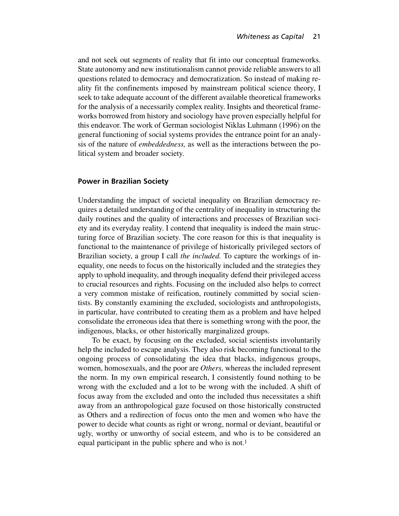and not seek out segments of reality that fit into our conceptual frameworks. State autonomy and new institutionalism cannot provide reliable answers to all questions related to democracy and democratization. So instead of making reality fit the confinements imposed by mainstream political science theory, I seek to take adequate account of the different available theoretical frameworks for the analysis of a necessarily complex reality. Insights and theoretical frameworks borrowed from history and sociology have proven especially helpful for this endeavor. The work of German sociologist Niklas Luhmann (1996) on the general functioning of social systems provides the entrance point for an analysis of the nature of *embeddedness,* as well as the interactions between the political system and broader society.

#### **Power in Brazilian Society**

Understanding the impact of societal inequality on Brazilian democracy requires a detailed understanding of the centrality of inequality in structuring the daily routines and the quality of interactions and processes of Brazilian society and its everyday reality. I contend that inequality is indeed the main structuring force of Brazilian society. The core reason for this is that inequality is functional to the maintenance of privilege of historically privileged sectors of Brazilian society, a group I call *the included.* To capture the workings of inequality, one needs to focus on the historically included and the strategies they apply to uphold inequality, and through inequality defend their privileged access to crucial resources and rights. Focusing on the included also helps to correct a very common mistake of reification, routinely committed by social scientists. By constantly examining the excluded, sociologists and anthropologists, in particular, have contributed to creating them as a problem and have helped consolidate the erroneous idea that there is something wrong with the poor, the indigenous, blacks, or other historically marginalized groups.

To be exact, by focusing on the excluded, social scientists involuntarily help the included to escape analysis. They also risk becoming functional to the ongoing process of consolidating the idea that blacks, indigenous groups, women, homosexuals, and the poor are *Others,* whereas the included represent the norm. In my own empirical research, I consistently found nothing to be wrong with the excluded and a lot to be wrong with the included. A shift of focus away from the excluded and onto the included thus necessitates a shift away from an anthropological gaze focused on those historically constructed as Others and a redirection of focus onto the men and women who have the power to decide what counts as right or wrong, normal or deviant, beautiful or ugly, worthy or unworthy of social esteem, and who is to be considered an equal participant in the public sphere and who is not.<sup>1</sup>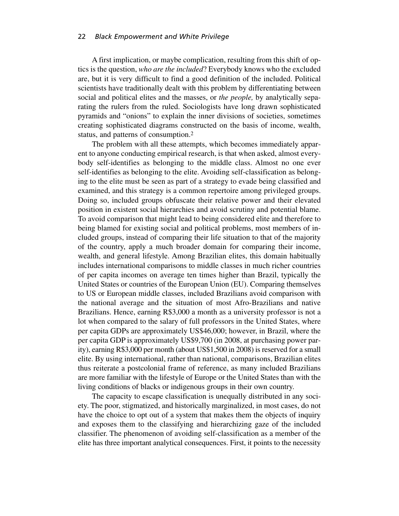A first implication, or maybe complication, resulting from this shift of optics is the question, *who are the included*? Everybody knows who the excluded are, but it is very difficult to find a good definition of the included. Political scientists have traditionally dealt with this problem by differentiating between social and political elites and the masses, or *the people,* by analytically separating the rulers from the ruled. Sociologists have long drawn sophisticated pyramids and "onions" to explain the inner divisions of societies, sometimes creating sophisticated diagrams constructed on the basis of income, wealth, status, and patterns of consumption.2

The problem with all these attempts, which becomes immediately apparent to anyone conducting empirical research, is that when asked, almost everybody self-identifies as belonging to the middle class. Almost no one ever self-identifies as belonging to the elite. Avoiding self-classification as belonging to the elite must be seen as part of a strategy to evade being classified and examined, and this strategy is a common repertoire among privileged groups. Doing so, included groups obfuscate their relative power and their elevated position in existent social hierarchies and avoid scrutiny and potential blame. To avoid comparison that might lead to being considered elite and therefore to being blamed for existing social and political problems, most members of included groups, instead of comparing their life situation to that of the majority of the country, apply a much broader domain for comparing their income, wealth, and general lifestyle. Among Brazilian elites, this domain habitually includes international comparisons to middle classes in much richer countries of per capita incomes on average ten times higher than Brazil, typically the United States or countries of the European Union (EU). Comparing themselves to US or European middle classes, included Brazilians avoid comparison with the national average and the situation of most Afro-Brazilians and native Brazilians. Hence, earning R\$3,000 a month as a university professor is not a lot when compared to the salary of full professors in the United States, where per capita GDPs are approximately US\$46,000; however, in Brazil, where the per capita GDP is approximately US\$9,700 (in 2008, at purchasing power parity), earning R\$3,000 per month (about US\$1,500 in 2008) is reserved for a small elite. By using international, rather than national, comparisons, Brazilian elites thus reiterate a postcolonial frame of reference, as many included Brazilians are more familiar with the lifestyle of Europe or the United States than with the living conditions of blacks or indigenous groups in their own country.

The capacity to escape classification is unequally distributed in any society. The poor, stigmatized, and historically marginalized, in most cases, do not have the choice to opt out of a system that makes them the objects of inquiry and exposes them to the classifying and hierarchizing gaze of the included classifier. The phenomenon of avoiding self-classification as a member of the elite has three important analytical consequences. First, it points to the necessity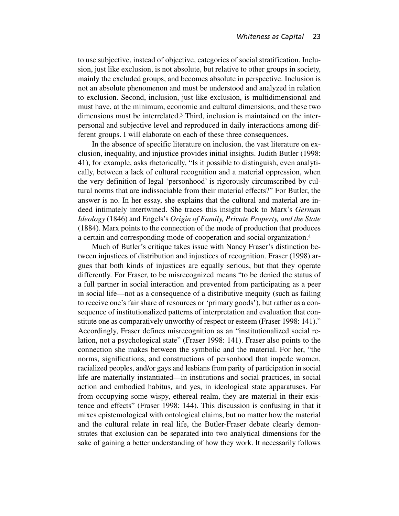to use subjective, instead of objective, categories of social stratification. Inclusion, just like exclusion, is not absolute, but relative to other groups in society, mainly the excluded groups, and becomes absolute in perspective. Inclusion is not an absolute phenomenon and must be understood and analyzed in relation to exclusion. Second, inclusion, just like exclusion, is multidimensional and must have, at the minimum, economic and cultural dimensions, and these two dimensions must be interrelated.3 Third, inclusion is maintained on the interpersonal and subjective level and reproduced in daily interactions among different groups. I will elaborate on each of these three consequences.

In the absence of specific literature on inclusion, the vast literature on exclusion, inequality, and injustice provides initial insights. Judith Butler (1998: 41), for example, asks rhetorically, "Is it possible to distinguish, even analytically, between a lack of cultural recognition and a material oppression, when the very definition of legal 'personhood' is rigorously circumscribed by cultural norms that are indissociable from their material effects?" For Butler, the answer is no. In her essay, she explains that the cultural and material are indeed intimately intertwined. She traces this insight back to Marx's *German Ideology* (1846) and Engels's *Origin of Family, Private Property, and the State* (1884). Marx points to the connection of the mode of production that produces a certain and corresponding mode of cooperation and social organization.4

Much of Butler's critique takes issue with Nancy Fraser's distinction between injustices of distribution and injustices of recognition. Fraser (1998) argues that both kinds of injustices are equally serious, but that they operate differently. For Fraser, to be misrecognized means "to be denied the status of a full partner in social interaction and prevented from participating as a peer in social life—not as a consequence of a distributive inequity (such as failing to receive one's fair share of resources or 'primary goods'), but rather as a consequence of institutionalized patterns of interpretation and evaluation that constitute one as comparatively unworthy of respect or esteem (Fraser 1998: 141)." Accordingly, Fraser defines misrecognition as an "institutionalized social relation, not a psychological state" (Fraser 1998: 141). Fraser also points to the connection she makes between the symbolic and the material. For her, "the norms, significations, and constructions of personhood that impede women, racialized peoples, and/or gays and lesbians from parity of participation in social life are materially instantiated—in institutions and social practices, in social action and embodied habitus, and yes, in ideological state apparatuses. Far from occupying some wispy, ethereal realm, they are material in their existence and effects" (Fraser 1998: 144). This discussion is confusing in that it mixes epistemological with ontological claims, but no matter how the material and the cultural relate in real life, the Butler-Fraser debate clearly demonstrates that exclusion can be separated into two analytical dimensions for the sake of gaining a better understanding of how they work. It necessarily follows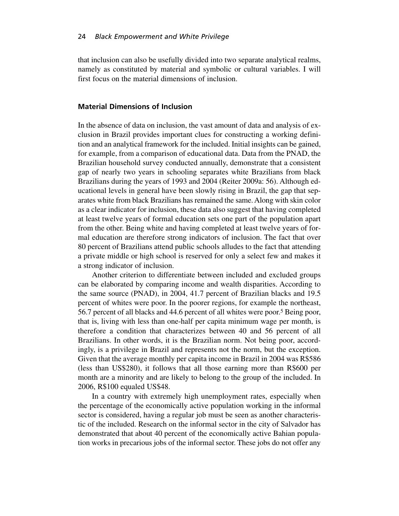that inclusion can also be usefully divided into two separate analytical realms, namely as constituted by material and symbolic or cultural variables. I will first focus on the material dimensions of inclusion.

#### **Material Dimensions of Inclusion**

In the absence of data on inclusion, the vast amount of data and analysis of exclusion in Brazil provides important clues for constructing a working definition and an analytical framework for the included. Initial insights can be gained, for example, from a comparison of educational data. Data from the PNAD, the Brazilian household survey conducted annually, demonstrate that a consistent gap of nearly two years in schooling separates white Brazilians from black Brazilians during the years of 1993 and 2004 (Reiter 2009a: 56). Although educational levels in general have been slowly rising in Brazil, the gap that separates white from black Brazilians has remained the same. Along with skin color as a clear indicator for inclusion, these data also suggest that having completed at least twelve years of formal education sets one part of the population apart from the other. Being white and having completed at least twelve years of formal education are therefore strong indicators of inclusion. The fact that over 80 percent of Brazilians attend public schools alludes to the fact that attending a private middle or high school is reserved for only a select few and makes it a strong indicator of inclusion.

Another criterion to differentiate between included and excluded groups can be elaborated by comparing income and wealth disparities. According to the same source (PNAD), in 2004, 41.7 percent of Brazilian blacks and 19.5 percent of whites were poor. In the poorer regions, for example the northeast, 56.7 percent of all blacks and 44.6 percent of all whites were poor.5 Being poor, that is, living with less than one-half per capita minimum wage per month, is therefore a condition that characterizes between 40 and 56 percent of all Brazilians. In other words, it is the Brazilian norm. Not being poor, accordingly, is a privilege in Brazil and represents not the norm, but the exception. Given that the average monthly per capita income in Brazil in 2004 was R\$586 (less than US\$280), it follows that all those earning more than R\$600 per month are a minority and are likely to belong to the group of the included. In 2006, R\$100 equaled US\$48.

In a country with extremely high unemployment rates, especially when the percentage of the economically active population working in the informal sector is considered, having a regular job must be seen as another characteristic of the included. Research on the informal sector in the city of Salvador has demonstrated that about 40 percent of the economically active Bahian population works in precarious jobs of the informal sector. These jobs do not offer any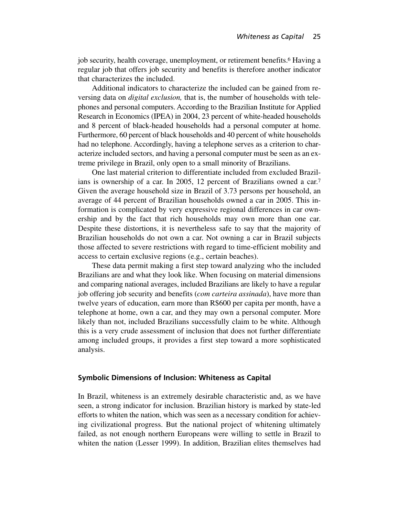job security, health coverage, unemployment, or retirement benefits.6 Having a regular job that offers job security and benefits is therefore another indicator that characterizes the included.

Additional indicators to characterize the included can be gained from reversing data on *digital exclusion,* that is, the number of households with telephones and personal computers. According to the Brazilian Institute for Applied Research in Economics (IPEA) in 2004, 23 percent of white-headed households and 8 percent of black-headed households had a personal computer at home. Furthermore, 60 percent of black households and 40 percent of white households had no telephone. Accordingly, having a telephone serves as a criterion to characterize included sectors, and having a personal computer must be seen as an extreme privilege in Brazil, only open to a small minority of Brazilians.

One last material criterion to differentiate included from excluded Brazilians is ownership of a car. In 2005, 12 percent of Brazilians owned a car.7 Given the average household size in Brazil of 3.73 persons per household, an average of 44 percent of Brazilian households owned a car in 2005. This information is complicated by very expressive regional differences in car ownership and by the fact that rich households may own more than one car. Despite these distortions, it is nevertheless safe to say that the majority of Brazilian households do not own a car. Not owning a car in Brazil subjects those affected to severe restrictions with regard to time-efficient mobility and access to certain exclusive regions (e.g., certain beaches).

These data permit making a first step toward analyzing who the included Brazilians are and what they look like. When focusing on material dimensions and comparing national averages, included Brazilians are likely to have a regular job offering job security and benefits (*com carteira assinada*), have more than twelve years of education, earn more than R\$600 per capita per month, have a telephone at home, own a car, and they may own a personal computer. More likely than not, included Brazilians successfully claim to be white. Although this is a very crude assessment of inclusion that does not further differentiate among included groups, it provides a first step toward a more sophisticated analysis.

#### **Symbolic Dimensions of Inclusion: Whiteness as Capital**

In Brazil, whiteness is an extremely desirable characteristic and, as we have seen, a strong indicator for inclusion. Brazilian history is marked by state-led efforts to whiten the nation, which was seen as a necessary condition for achieving civilizational progress. But the national project of whitening ultimately failed, as not enough northern Europeans were willing to settle in Brazil to whiten the nation (Lesser 1999). In addition, Brazilian elites themselves had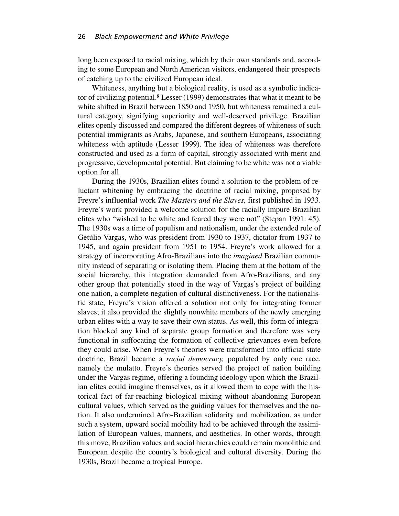long been exposed to racial mixing, which by their own standards and, according to some European and North American visitors, endangered their prospects of catching up to the civilized European ideal.

Whiteness, anything but a biological reality, is used as a symbolic indicator of civilizing potential.8 Lesser (1999) demonstrates that what it meant to be white shifted in Brazil between 1850 and 1950, but whiteness remained a cultural category, signifying superiority and well-deserved privilege. Brazilian elites openly discussed and compared the different degrees of whiteness of such potential immigrants as Arabs, Japanese, and southern Europeans, associating whiteness with aptitude (Lesser 1999). The idea of whiteness was therefore constructed and used as a form of capital, strongly associated with merit and progressive, developmental potential. But claiming to be white was not a viable option for all.

During the 1930s, Brazilian elites found a solution to the problem of reluctant whitening by embracing the doctrine of racial mixing, proposed by Freyre's influential work *The Masters and the Slaves,* first published in 1933. Freyre's work provided a welcome solution for the racially impure Brazilian elites who "wished to be white and feared they were not" (Stepan 1991: 45). The 1930s was a time of populism and nationalism, under the extended rule of Getúlio Vargas, who was president from 1930 to 1937, dictator from 1937 to 1945, and again president from 1951 to 1954. Freyre's work allowed for a strategy of incorporating Afro-Brazilians into the *imagined* Brazilian community instead of separating or isolating them. Placing them at the bottom of the social hierarchy, this integration demanded from Afro-Brazilians, and any other group that potentially stood in the way of Vargas's project of building one nation, a complete negation of cultural distinctiveness. For the nationalistic state, Freyre's vision offered a solution not only for integrating former slaves; it also provided the slightly nonwhite members of the newly emerging urban elites with a way to save their own status. As well, this form of integration blocked any kind of separate group formation and therefore was very functional in suffocating the formation of collective grievances even before they could arise. When Freyre's theories were transformed into official state doctrine, Brazil became a *racial democracy,* populated by only one race, namely the mulatto. Freyre's theories served the project of nation building under the Vargas regime, offering a founding ideology upon which the Brazilian elites could imagine themselves, as it allowed them to cope with the historical fact of far-reaching biological mixing without abandoning European cultural values, which served as the guiding values for themselves and the nation. It also undermined Afro-Brazilian solidarity and mobilization, as under such a system, upward social mobility had to be achieved through the assimilation of European values, manners, and aesthetics. In other words, through this move, Brazilian values and social hierarchies could remain monolithic and European despite the country's biological and cultural diversity. During the 1930s, Brazil became a tropical Europe.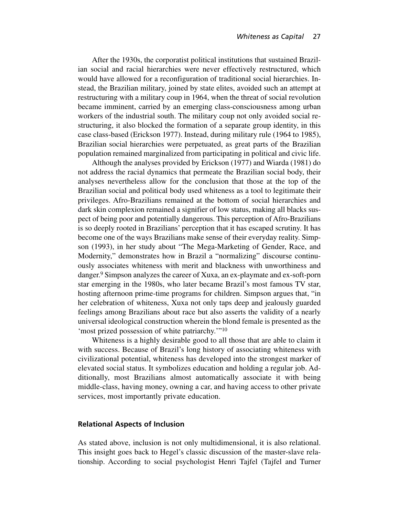After the 1930s, the corporatist political institutions that sustained Brazilian social and racial hierarchies were never effectively restructured, which would have allowed for a reconfiguration of traditional social hierarchies. Instead, the Brazilian military, joined by state elites, avoided such an attempt at restructuring with a military coup in 1964, when the threat of social revolution became imminent, carried by an emerging class-consciousness among urban workers of the industrial south. The military coup not only avoided social restructuring, it also blocked the formation of a separate group identity, in this case class-based (Erickson 1977). Instead, during military rule (1964 to 1985), Brazilian social hierarchies were perpetuated, as great parts of the Brazilian population remained marginalized from participating in political and civic life.

Although the analyses provided by Erickson (1977) and Wiarda (1981) do not address the racial dynamics that permeate the Brazilian social body, their analyses nevertheless allow for the conclusion that those at the top of the Brazilian social and political body used whiteness as a tool to legitimate their privileges. Afro-Brazilians remained at the bottom of social hierarchies and dark skin complexion remained a signifier of low status, making all blacks suspect of being poor and potentially dangerous. This perception of Afro-Brazilians is so deeply rooted in Brazilians' perception that it has escaped scrutiny. It has become one of the ways Brazilians make sense of their everyday reality. Simpson (1993), in her study about "The Mega-Marketing of Gender, Race, and Modernity," demonstrates how in Brazil a "normalizing" discourse continuously associates whiteness with merit and blackness with unworthiness and danger.9 Simpson analyzes the career of Xuxa, an ex-playmate and ex-soft-porn star emerging in the 1980s, who later became Brazil's most famous TV star, hosting afternoon prime-time programs for children. Simpson argues that, "in her celebration of whiteness, Xuxa not only taps deep and jealously guarded feelings among Brazilians about race but also asserts the validity of a nearly universal ideological construction wherein the blond female is presented as the 'most prized possession of white patriarchy.'"10

Whiteness is a highly desirable good to all those that are able to claim it with success. Because of Brazil's long history of associating whiteness with civilizational potential, whiteness has developed into the strongest marker of elevated social status. It symbolizes education and holding a regular job. Additionally, most Brazilians almost automatically associate it with being middle-class, having money, owning a car, and having access to other private services, most importantly private education.

#### **Relational Aspects of Inclusion**

As stated above, inclusion is not only multidimensional, it is also relational. This insight goes back to Hegel's classic discussion of the master-slave relationship. According to social psychologist Henri Tajfel (Tajfel and Turner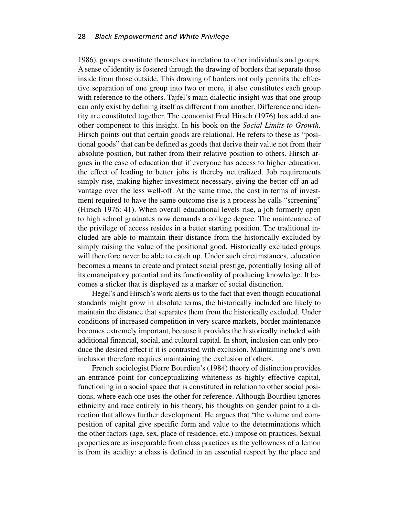1986), groups constitute themselves in relation to other individuals and groups. A sense of identity is fostered through the drawing of borders that separate those inside from those outside. This drawing of borders not only permits the effective separation of one group into two or more, it also constitutes each group with reference to the others. Tajfel's main dialectic insight was that one group can only exist by defining itself as different from another. Difference and identity are constituted together. The economist Fred Hirsch (1976) has added another component to this insight. In his book on the *Social Limits to Growth,* Hirsch points out that certain goods are relational. He refers to these as "positional goods" that can be defined as goods that derive their value not from their absolute position, but rather from their relative position to others. Hirsch argues in the case of education that if everyone has access to higher education, the effect of leading to better jobs is thereby neutralized. Job requirements simply rise, making higher investment necessary, giving the better-off an advantage over the less well-off. At the same time, the cost in terms of investment required to have the same outcome rise is a process he calls "screening" (Hirsch 1976: 41). When overall educational levels rise, a job formerly open to high school graduates now demands a college degree. The maintenance of the privilege of access resides in a better starting position. The traditional included are able to maintain their distance from the historically excluded by simply raising the value of the positional good. Historically excluded groups will therefore never be able to catch up. Under such circumstances, education becomes a means to create and protect social prestige, potentially losing all of its emancipatory potential and its functionality of producing knowledge. It becomes a sticker that is displayed as a marker of social distinction.

Hegel's and Hirsch's work alerts us to the fact that even though educational standards might grow in absolute terms, the historically included are likely to maintain the distance that separates them from the historically excluded. Under conditions of increased competition in very scarce markets, border maintenance becomes extremely important, because it provides the historically included with additional financial, social, and cultural capital. In short, inclusion can only produce the desired effect if it is contrasted with exclusion. Maintaining one's own inclusion therefore requires maintaining the exclusion of others.

French sociologist Pierre Bourdieu's (1984) theory of distinction provides an entrance point for conceptualizing whiteness as highly effective capital, functioning in a social space that is constituted in relation to other social positions, where each one uses the other for reference. Although Bourdieu ignores ethnicity and race entirely in his theory, his thoughts on gender point to a direction that allows further development. He argues that "the volume and composition of capital give specific form and value to the determinations which the other factors (age, sex, place of residence, etc.) impose on practices. Sexual properties are as inseparable from class practices as the yellowness of a lemon is from its acidity: a class is defined in an essential respect by the place and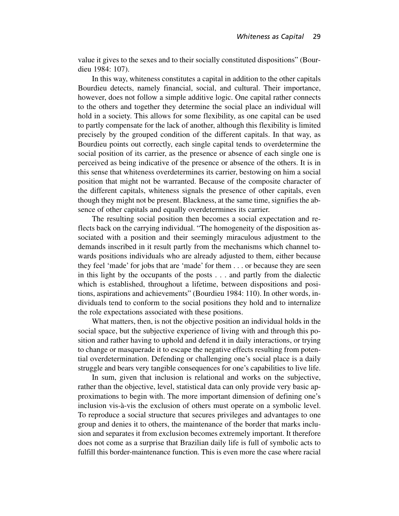value it gives to the sexes and to their socially constituted dispositions" (Bourdieu 1984: 107).

In this way, whiteness constitutes a capital in addition to the other capitals Bourdieu detects, namely financial, social, and cultural. Their importance, however, does not follow a simple additive logic. One capital rather connects to the others and together they determine the social place an individual will hold in a society. This allows for some flexibility, as one capital can be used to partly compensate for the lack of another, although this flexibility is limited precisely by the grouped condition of the different capitals. In that way, as Bourdieu points out correctly, each single capital tends to overdetermine the social position of its carrier, as the presence or absence of each single one is perceived as being indicative of the presence or absence of the others. It is in this sense that whiteness overdetermines its carrier, bestowing on him a social position that might not be warranted. Because of the composite character of the different capitals, whiteness signals the presence of other capitals, even though they might not be present. Blackness, at the same time, signifies the absence of other capitals and equally overdetermines its carrier.

The resulting social position then becomes a social expectation and reflects back on the carrying individual. "The homogeneity of the disposition associated with a position and their seemingly miraculous adjustment to the demands inscribed in it result partly from the mechanisms which channel towards positions individuals who are already adjusted to them, either because they feel 'made' for jobs that are 'made' for them . . . or because they are seen in this light by the occupants of the posts . . . and partly from the dialectic which is established, throughout a lifetime, between dispositions and positions, aspirations and achievements" (Bourdieu 1984: 110). In other words, individuals tend to conform to the social positions they hold and to internalize the role expectations associated with these positions.

What matters, then, is not the objective position an individual holds in the social space, but the subjective experience of living with and through this position and rather having to uphold and defend it in daily interactions, or trying to change or masquerade it to escape the negative effects resulting from potential overdetermination. Defending or challenging one's social place is a daily struggle and bears very tangible consequences for one's capabilities to live life.

In sum, given that inclusion is relational and works on the subjective, rather than the objective, level, statistical data can only provide very basic approximations to begin with. The more important dimension of defining one's inclusion vis-à-vis the exclusion of others must operate on a symbolic level. To reproduce a social structure that secures privileges and advantages to one group and denies it to others, the maintenance of the border that marks inclusion and separates it from exclusion becomes extremely important. It therefore does not come as a surprise that Brazilian daily life is full of symbolic acts to fulfill this border-maintenance function. This is even more the case where racial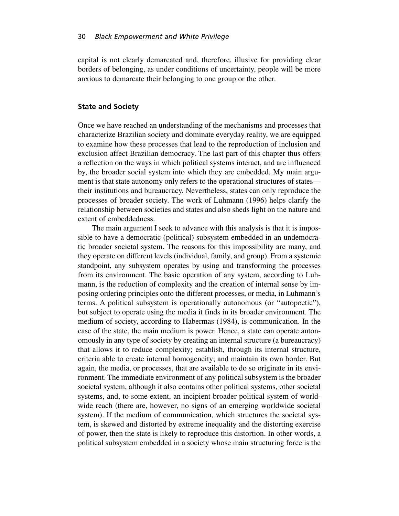capital is not clearly demarcated and, therefore, illusive for providing clear borders of belonging, as under conditions of uncertainty, people will be more anxious to demarcate their belonging to one group or the other.

#### **State and Society**

Once we have reached an understanding of the mechanisms and processes that characterize Brazilian society and dominate everyday reality, we are equipped to examine how these processes that lead to the reproduction of inclusion and exclusion affect Brazilian democracy. The last part of this chapter thus offers a reflection on the ways in which political systems interact, and are influenced by, the broader social system into which they are embedded. My main argument is that state autonomy only refers to the operational structures of states their institutions and bureaucracy. Nevertheless, states can only reproduce the processes of broader society. The work of Luhmann (1996) helps clarify the relationship between societies and states and also sheds light on the nature and extent of embeddedness.

The main argument I seek to advance with this analysis is that it is impossible to have a democratic (political) subsystem embedded in an undemocratic broader societal system. The reasons for this impossibility are many, and they operate on different levels (individual, family, and group). From a systemic standpoint, any subsystem operates by using and transforming the processes from its environment. The basic operation of any system, according to Luhmann, is the reduction of complexity and the creation of internal sense by imposing ordering principles onto the different processes, or media, in Luhmann's terms. A political subsystem is operationally autonomous (or "autopoetic"), but subject to operate using the media it finds in its broader environment. The medium of society, according to Habermas (1984), is communication. In the case of the state, the main medium is power. Hence, a state can operate autonomously in any type of society by creating an internal structure (a bureaucracy) that allows it to reduce complexity; establish, through its internal structure, criteria able to create internal homogeneity; and maintain its own border. But again, the media, or processes, that are available to do so originate in its environment. The immediate environment of any political subsystem is the broader societal system, although it also contains other political systems, other societal systems, and, to some extent, an incipient broader political system of worldwide reach (there are, however, no signs of an emerging worldwide societal system). If the medium of communication, which structures the societal system, is skewed and distorted by extreme inequality and the distorting exercise of power, then the state is likely to reproduce this distortion. In other words, a political subsystem embedded in a society whose main structuring force is the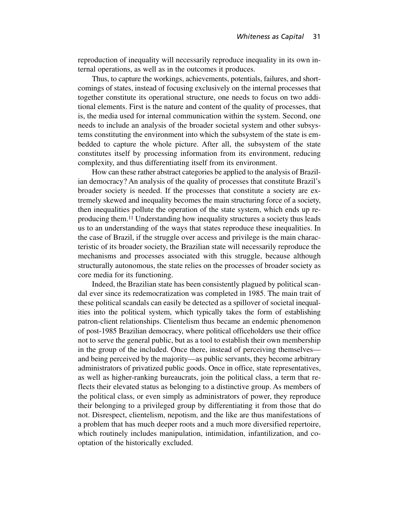reproduction of inequality will necessarily reproduce inequality in its own internal operations, as well as in the outcomes it produces.

Thus, to capture the workings, achievements, potentials, failures, and shortcomings of states, instead of focusing exclusively on the internal processes that together constitute its operational structure, one needs to focus on two additional elements. First is the nature and content of the quality of processes, that is, the media used for internal communication within the system. Second, one needs to include an analysis of the broader societal system and other subsystems constituting the environment into which the subsystem of the state is embedded to capture the whole picture. After all, the subsystem of the state constitutes itself by processing information from its environment, reducing complexity, and thus differentiating itself from its environment.

How can these rather abstract categories be applied to the analysis of Brazilian democracy? An analysis of the quality of processes that constitute Brazil's broader society is needed. If the processes that constitute a society are extremely skewed and inequality becomes the main structuring force of a society, then inequalities pollute the operation of the state system, which ends up reproducing them.11 Understanding how inequality structures a society thus leads us to an understanding of the ways that states reproduce these inequalities. In the case of Brazil, if the struggle over access and privilege is the main characteristic of its broader society, the Brazilian state will necessarily reproduce the mechanisms and processes associated with this struggle, because although structurally autonomous, the state relies on the processes of broader society as core media for its functioning.

Indeed, the Brazilian state has been consistently plagued by political scandal ever since its redemocratization was completed in 1985. The main trait of these political scandals can easily be detected as a spillover of societal inequalities into the political system, which typically takes the form of establishing patron-client relationships. Clientelism thus became an endemic phenomenon of post-1985 Brazilian democracy, where political officeholders use their office not to serve the general public, but as a tool to establish their own membership in the group of the included. Once there, instead of perceiving themselves and being perceived by the majority—as public servants, they become arbitrary administrators of privatized public goods. Once in office, state representatives, as well as higher-ranking bureaucrats, join the political class, a term that reflects their elevated status as belonging to a distinctive group. As members of the political class, or even simply as administrators of power, they reproduce their belonging to a privileged group by differentiating it from those that do not. Disrespect, clientelism, nepotism, and the like are thus manifestations of a problem that has much deeper roots and a much more diversified repertoire, which routinely includes manipulation, intimidation, infantilization, and cooptation of the historically excluded.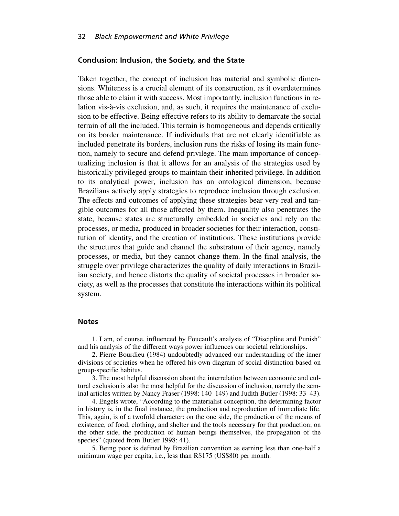#### **Conclusion: Inclusion, the Society, and the State**

Taken together, the concept of inclusion has material and symbolic dimensions. Whiteness is a crucial element of its construction, as it overdetermines those able to claim it with success. Most importantly, inclusion functions in relation vis-à-vis exclusion, and, as such, it requires the maintenance of exclusion to be effective. Being effective refers to its ability to demarcate the social terrain of all the included. This terrain is homogeneous and depends critically on its border maintenance. If individuals that are not clearly identifiable as included penetrate its borders, inclusion runs the risks of losing its main function, namely to secure and defend privilege. The main importance of conceptualizing inclusion is that it allows for an analysis of the strategies used by historically privileged groups to maintain their inherited privilege. In addition to its analytical power, inclusion has an ontological dimension, because Brazilians actively apply strategies to reproduce inclusion through exclusion. The effects and outcomes of applying these strategies bear very real and tangible outcomes for all those affected by them. Inequality also penetrates the state, because states are structurally embedded in societies and rely on the processes, or media, produced in broader societies for their interaction, constitution of identity, and the creation of institutions. These institutions provide the structures that guide and channel the substratum of their agency, namely processes, or media, but they cannot change them. In the final analysis, the struggle over privilege characterizes the quality of daily interactions in Brazilian society, and hence distorts the quality of societal processes in broader society, as well as the processes that constitute the interactions within its political system.

#### **Notes**

1. I am, of course, influenced by Foucault's analysis of "Discipline and Punish" and his analysis of the different ways power influences our societal relationships.

2. Pierre Bourdieu (1984) undoubtedly advanced our understanding of the inner divisions of societies when he offered his own diagram of social distinction based on group-specific habitus.

3. The most helpful discussion about the interrelation between economic and cultural exclusion is also the most helpful for the discussion of inclusion, namely the seminal articles written by Nancy Fraser (1998: 140–149) and Judith Butler (1998: 33–43).

4. Engels wrote, "According to the materialist conception, the determining factor in history is, in the final instance, the production and reproduction of immediate life. This, again, is of a twofold character: on the one side, the production of the means of existence, of food, clothing, and shelter and the tools necessary for that production; on the other side, the production of human beings themselves, the propagation of the species" (quoted from Butler 1998: 41).

5. Being poor is defined by Brazilian convention as earning less than one-half a minimum wage per capita, i.e., less than R\$175 (US\$80) per month.